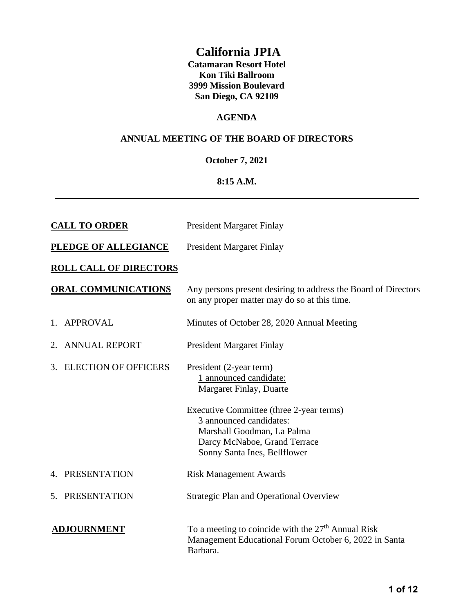## **California JPIA**

**Catamaran Resort Hotel Kon Tiki Ballroom 3999 Mission Boulevard San Diego, CA 92109**

#### **AGENDA**

#### **ANNUAL MEETING OF THE BOARD OF DIRECTORS**

#### **October 7, 2021**

#### **8:15 A.M.**

| <b>CALL TO ORDER</b>          |                             | <b>President Margaret Finlay</b>                                                                                                                                  |  |  |
|-------------------------------|-----------------------------|-------------------------------------------------------------------------------------------------------------------------------------------------------------------|--|--|
| <b>PLEDGE OF ALLEGIANCE</b>   |                             | <b>President Margaret Finlay</b>                                                                                                                                  |  |  |
| <b>ROLL CALL OF DIRECTORS</b> |                             |                                                                                                                                                                   |  |  |
|                               | <b>ORAL COMMUNICATIONS</b>  | Any persons present desiring to address the Board of Directors<br>on any proper matter may do so at this time.                                                    |  |  |
| 1.                            | <b>APPROVAL</b>             | Minutes of October 28, 2020 Annual Meeting                                                                                                                        |  |  |
| 2.                            | <b>ANNUAL REPORT</b>        | <b>President Margaret Finlay</b>                                                                                                                                  |  |  |
| 3.                            | <b>ELECTION OF OFFICERS</b> | President (2-year term)<br>1 announced candidate:<br>Margaret Finlay, Duarte                                                                                      |  |  |
|                               |                             | Executive Committee (three 2-year terms)<br>3 announced candidates:<br>Marshall Goodman, La Palma<br>Darcy McNaboe, Grand Terrace<br>Sonny Santa Ines, Bellflower |  |  |
|                               | 4. PRESENTATION             | <b>Risk Management Awards</b>                                                                                                                                     |  |  |
|                               | 5. PRESENTATION             | <b>Strategic Plan and Operational Overview</b>                                                                                                                    |  |  |
| <b>ADJOURNMENT</b>            |                             | To a meeting to coincide with the 27 <sup>th</sup> Annual Risk<br>Management Educational Forum October 6, 2022 in Santa<br>Barbara.                               |  |  |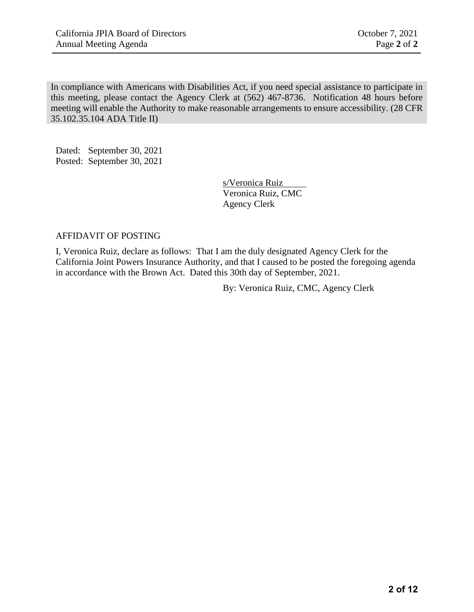In compliance with Americans with Disabilities Act, if you need special assistance to participate in this meeting, please contact the Agency Clerk at (562) 467-8736. Notification 48 hours before meeting will enable the Authority to make reasonable arrangements to ensure accessibility. (28 CFR 35.102.35.104 ADA Title II)

Dated: September 30, 2021 Posted: September 30, 2021

> s/Veronica Ruiz Veronica Ruiz, CMC Agency Clerk

#### AFFIDAVIT OF POSTING

I, Veronica Ruiz, declare as follows: That I am the duly designated Agency Clerk for the California Joint Powers Insurance Authority, and that I caused to be posted the foregoing agenda in accordance with the Brown Act. Dated this 30th day of September, 2021.

By: Veronica Ruiz, CMC, Agency Clerk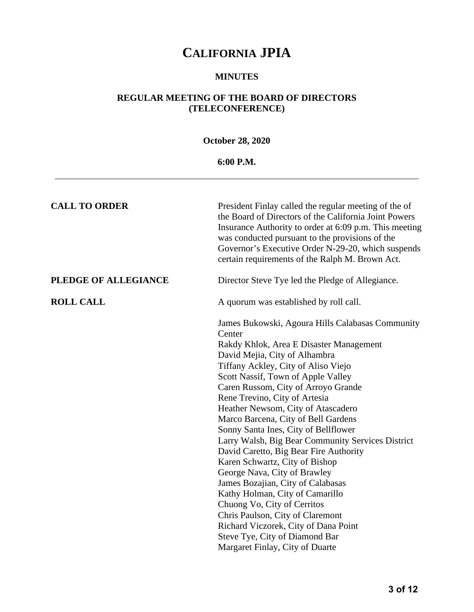#### **MINUTES**

### **REGULAR MEETING OF THE BOARD OF DIRECTORS (TELECONFERENCE)**

### **October 28, 2020**

### **6:00 P.M.**

| <b>CALL TO ORDER</b> | President Finlay called the regular meeting of the of<br>the Board of Directors of the California Joint Powers<br>Insurance Authority to order at 6:09 p.m. This meeting<br>was conducted pursuant to the provisions of the<br>Governor's Executive Order N-29-20, which suspends<br>certain requirements of the Ralph M. Brown Act.                                                                                                                                                                                                                                                                                                                                                                                                                                                                                                      |
|----------------------|-------------------------------------------------------------------------------------------------------------------------------------------------------------------------------------------------------------------------------------------------------------------------------------------------------------------------------------------------------------------------------------------------------------------------------------------------------------------------------------------------------------------------------------------------------------------------------------------------------------------------------------------------------------------------------------------------------------------------------------------------------------------------------------------------------------------------------------------|
| PLEDGE OF ALLEGIANCE | Director Steve Tye led the Pledge of Allegiance.                                                                                                                                                                                                                                                                                                                                                                                                                                                                                                                                                                                                                                                                                                                                                                                          |
| <b>ROLL CALL</b>     | A quorum was established by roll call.                                                                                                                                                                                                                                                                                                                                                                                                                                                                                                                                                                                                                                                                                                                                                                                                    |
|                      | James Bukowski, Agoura Hills Calabasas Community<br>Center<br>Rakdy Khlok, Area E Disaster Management<br>David Mejia, City of Alhambra<br>Tiffany Ackley, City of Aliso Viejo<br>Scott Nassif, Town of Apple Valley<br>Caren Russom, City of Arroyo Grande<br>Rene Trevino, City of Artesia<br>Heather Newsom, City of Atascadero<br>Marco Barcena, City of Bell Gardens<br>Sonny Santa Ines, City of Bellflower<br>Larry Walsh, Big Bear Community Services District<br>David Caretto, Big Bear Fire Authority<br>Karen Schwartz, City of Bishop<br>George Nava, City of Brawley<br>James Bozajian, City of Calabasas<br>Kathy Holman, City of Camarillo<br>Chuong Vo, City of Cerritos<br>Chris Paulson, City of Claremont<br>Richard Viczorek, City of Dana Point<br>Steve Tye, City of Diamond Bar<br>Margaret Finlay, City of Duarte |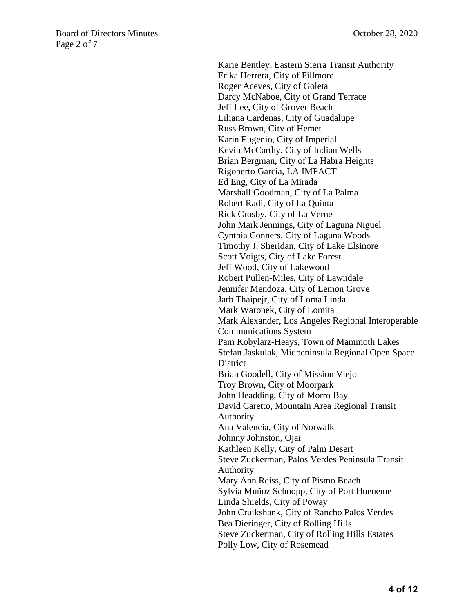Karie Bentley, Eastern Sierra Transit Authority Erika Herrera, City of Fillmore Roger Aceves, City of Goleta Darcy McNaboe, City of Grand Terrace Jeff Lee, City of Grover Beach Liliana Cardenas, City of Guadalupe Russ Brown, City of Hemet Karin Eugenio, City of Imperial Kevin McCarthy, City of Indian Wells Brian Bergman, City of La Habra Heights Rigoberto Garcia, LA IMPACT Ed Eng, City of La Mirada Marshall Goodman, City of La Palma Robert Radi, City of La Quinta Rick Crosby, City of La Verne John Mark Jennings, City of Laguna Niguel Cynthia Conners, City of Laguna Woods Timothy J. Sheridan, City of Lake Elsinore Scott Voigts, City of Lake Forest Jeff Wood, City of Lakewood Robert Pullen-Miles, City of Lawndale Jennifer Mendoza, City of Lemon Grove Jarb Thaipejr, City of Loma Linda Mark Waronek, City of Lomita Mark Alexander, Los Angeles Regional Interoperable Communications System Pam Kobylarz-Heays, Town of Mammoth Lakes Stefan Jaskulak, Midpeninsula Regional Open Space **District** Brian Goodell, City of Mission Viejo Troy Brown, City of Moorpark John Headding, City of Morro Bay David Caretto, Mountain Area Regional Transit Authority Ana Valencia, City of Norwalk Johnny Johnston, Ojai Kathleen Kelly, City of Palm Desert Steve Zuckerman, Palos Verdes Peninsula Transit Authority Mary Ann Reiss, City of Pismo Beach Sylvia Muñoz Schnopp, City of Port Hueneme Linda Shields, City of Poway John Cruikshank, City of Rancho Palos Verdes Bea Dieringer, City of Rolling Hills Steve Zuckerman, City of Rolling Hills Estates Polly Low, City of Rosemead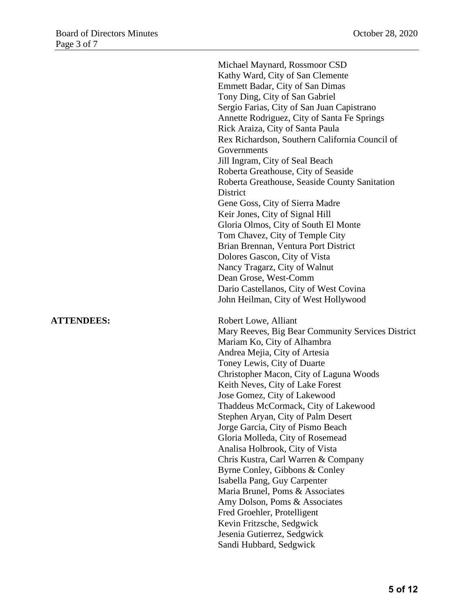Michael Maynard, Rossmoor CSD Kathy Ward, City of San Clemente Emmett Badar, City of San Dimas Tony Ding, City of San Gabriel Sergio Farias, City of San Juan Capistrano Annette Rodriguez, City of Santa Fe Springs Rick Araiza, City of Santa Paula Rex Richardson, Southern California Council of Governments Jill Ingram, City of Seal Beach Roberta Greathouse, City of Seaside Roberta Greathouse, Seaside County Sanitation **District** Gene Goss, City of Sierra Madre Keir Jones, City of Signal Hill Gloria Olmos, City of South El Monte Tom Chavez, City of Temple City Brian Brennan, Ventura Port District Dolores Gascon, City of Vista Nancy Tragarz, City of Walnut Dean Grose, West-Comm Dario Castellanos, City of West Covina John Heilman, City of West Hollywood **ATTENDEES:** Robert Lowe, Alliant Mary Reeves, Big Bear Community Services District Mariam Ko, City of Alhambra Andrea Mejia, City of Artesia Toney Lewis, City of Duarte Christopher Macon, City of Laguna Woods Keith Neves, City of Lake Forest Jose Gomez, City of Lakewood Thaddeus McCormack, City of Lakewood Stephen Aryan, City of Palm Desert Jorge Garcia, City of Pismo Beach Gloria Molleda, City of Rosemead Analisa Holbrook, City of Vista Chris Kustra, Carl Warren & Company Byrne Conley, Gibbons & Conley Isabella Pang, Guy Carpenter Maria Brunel, Poms & Associates Amy Dolson, Poms & Associates Fred Groehler, Protelligent Kevin Fritzsche, Sedgwick Jesenia Gutierrez, Sedgwick Sandi Hubbard, Sedgwick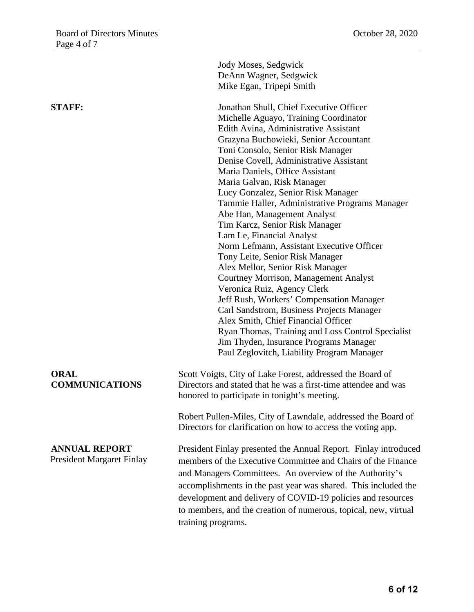|                                                          | Jody Moses, Sedgwick<br>DeAnn Wagner, Sedgwick<br>Mike Egan, Tripepi Smith                                                                                                                                                                                                                                                                                                                                                                                                                                                                                                                                                                                                                                                                                                                                                                                                                                                                                                         |
|----------------------------------------------------------|------------------------------------------------------------------------------------------------------------------------------------------------------------------------------------------------------------------------------------------------------------------------------------------------------------------------------------------------------------------------------------------------------------------------------------------------------------------------------------------------------------------------------------------------------------------------------------------------------------------------------------------------------------------------------------------------------------------------------------------------------------------------------------------------------------------------------------------------------------------------------------------------------------------------------------------------------------------------------------|
| <b>STAFF:</b>                                            | Jonathan Shull, Chief Executive Officer<br>Michelle Aguayo, Training Coordinator<br>Edith Avina, Administrative Assistant<br>Grazyna Buchowieki, Senior Accountant<br>Toni Consolo, Senior Risk Manager<br>Denise Covell, Administrative Assistant<br>Maria Daniels, Office Assistant<br>Maria Galvan, Risk Manager<br>Lucy Gonzalez, Senior Risk Manager<br>Tammie Haller, Administrative Programs Manager<br>Abe Han, Management Analyst<br>Tim Karcz, Senior Risk Manager<br>Lam Le, Financial Analyst<br>Norm Lefmann, Assistant Executive Officer<br>Tony Leite, Senior Risk Manager<br>Alex Mellor, Senior Risk Manager<br>Courtney Morrison, Management Analyst<br>Veronica Ruiz, Agency Clerk<br>Jeff Rush, Workers' Compensation Manager<br>Carl Sandstrom, Business Projects Manager<br>Alex Smith, Chief Financial Officer<br>Ryan Thomas, Training and Loss Control Specialist<br>Jim Thyden, Insurance Programs Manager<br>Paul Zeglovitch, Liability Program Manager |
| <b>ORAL</b><br><b>COMMUNICATIONS</b>                     | Scott Voigts, City of Lake Forest, addressed the Board of<br>Directors and stated that he was a first-time attendee and was<br>honored to participate in tonight's meeting.                                                                                                                                                                                                                                                                                                                                                                                                                                                                                                                                                                                                                                                                                                                                                                                                        |
|                                                          | Robert Pullen-Miles, City of Lawndale, addressed the Board of<br>Directors for clarification on how to access the voting app.                                                                                                                                                                                                                                                                                                                                                                                                                                                                                                                                                                                                                                                                                                                                                                                                                                                      |
| <b>ANNUAL REPORT</b><br><b>President Margaret Finlay</b> | President Finlay presented the Annual Report. Finlay introduced<br>members of the Executive Committee and Chairs of the Finance<br>and Managers Committees. An overview of the Authority's<br>accomplishments in the past year was shared. This included the<br>development and delivery of COVID-19 policies and resources<br>to members, and the creation of numerous, topical, new, virtual<br>training programs.                                                                                                                                                                                                                                                                                                                                                                                                                                                                                                                                                               |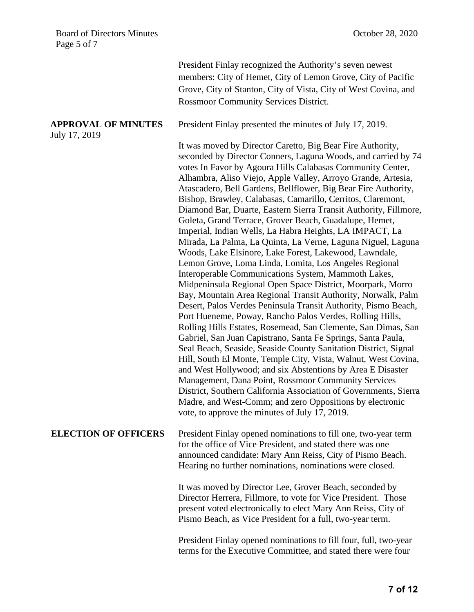|                                             | President Finlay recognized the Authority's seven newest<br>members: City of Hemet, City of Lemon Grove, City of Pacific<br>Grove, City of Stanton, City of Vista, City of West Covina, and<br><b>Rossmoor Community Services District.</b>                                                                                                                                                                                                                                                                                                                                                                                                                                                                                                                                                                                                                                                                                                                                                                                                                                                                                                                                                                                                                                                                                                                                                                                                                                                                                                                                                                                                                            |
|---------------------------------------------|------------------------------------------------------------------------------------------------------------------------------------------------------------------------------------------------------------------------------------------------------------------------------------------------------------------------------------------------------------------------------------------------------------------------------------------------------------------------------------------------------------------------------------------------------------------------------------------------------------------------------------------------------------------------------------------------------------------------------------------------------------------------------------------------------------------------------------------------------------------------------------------------------------------------------------------------------------------------------------------------------------------------------------------------------------------------------------------------------------------------------------------------------------------------------------------------------------------------------------------------------------------------------------------------------------------------------------------------------------------------------------------------------------------------------------------------------------------------------------------------------------------------------------------------------------------------------------------------------------------------------------------------------------------------|
| <b>APPROVAL OF MINUTES</b><br>July 17, 2019 | President Finlay presented the minutes of July 17, 2019.                                                                                                                                                                                                                                                                                                                                                                                                                                                                                                                                                                                                                                                                                                                                                                                                                                                                                                                                                                                                                                                                                                                                                                                                                                                                                                                                                                                                                                                                                                                                                                                                               |
|                                             | It was moved by Director Caretto, Big Bear Fire Authority,<br>seconded by Director Conners, Laguna Woods, and carried by 74<br>votes In Favor by Agoura Hills Calabasas Community Center,<br>Alhambra, Aliso Viejo, Apple Valley, Arroyo Grande, Artesia,<br>Atascadero, Bell Gardens, Bellflower, Big Bear Fire Authority,<br>Bishop, Brawley, Calabasas, Camarillo, Cerritos, Claremont,<br>Diamond Bar, Duarte, Eastern Sierra Transit Authority, Fillmore,<br>Goleta, Grand Terrace, Grover Beach, Guadalupe, Hemet,<br>Imperial, Indian Wells, La Habra Heights, LA IMPACT, La<br>Mirada, La Palma, La Quinta, La Verne, Laguna Niguel, Laguna<br>Woods, Lake Elsinore, Lake Forest, Lakewood, Lawndale,<br>Lemon Grove, Loma Linda, Lomita, Los Angeles Regional<br>Interoperable Communications System, Mammoth Lakes,<br>Midpeninsula Regional Open Space District, Moorpark, Morro<br>Bay, Mountain Area Regional Transit Authority, Norwalk, Palm<br>Desert, Palos Verdes Peninsula Transit Authority, Pismo Beach,<br>Port Hueneme, Poway, Rancho Palos Verdes, Rolling Hills,<br>Rolling Hills Estates, Rosemead, San Clemente, San Dimas, San<br>Gabriel, San Juan Capistrano, Santa Fe Springs, Santa Paula,<br>Seal Beach, Seaside, Seaside County Sanitation District, Signal<br>Hill, South El Monte, Temple City, Vista, Walnut, West Covina,<br>and West Hollywood; and six Abstentions by Area E Disaster<br>Management, Dana Point, Rossmoor Community Services<br>District, Southern California Association of Governments, Sierra<br>Madre, and West-Comm; and zero Oppositions by electronic<br>vote, to approve the minutes of July 17, 2019. |
| <b>ELECTION OF OFFICERS</b>                 | President Finlay opened nominations to fill one, two-year term<br>for the office of Vice President, and stated there was one<br>announced candidate: Mary Ann Reiss, City of Pismo Beach.<br>Hearing no further nominations, nominations were closed.                                                                                                                                                                                                                                                                                                                                                                                                                                                                                                                                                                                                                                                                                                                                                                                                                                                                                                                                                                                                                                                                                                                                                                                                                                                                                                                                                                                                                  |
|                                             | It was moved by Director Lee, Grover Beach, seconded by<br>Director Herrera, Fillmore, to vote for Vice President. Those<br>present voted electronically to elect Mary Ann Reiss, City of<br>Pismo Beach, as Vice President for a full, two-year term.                                                                                                                                                                                                                                                                                                                                                                                                                                                                                                                                                                                                                                                                                                                                                                                                                                                                                                                                                                                                                                                                                                                                                                                                                                                                                                                                                                                                                 |
|                                             | President Finlay opened nominations to fill four, full, two-year<br>terms for the Executive Committee, and stated there were four                                                                                                                                                                                                                                                                                                                                                                                                                                                                                                                                                                                                                                                                                                                                                                                                                                                                                                                                                                                                                                                                                                                                                                                                                                                                                                                                                                                                                                                                                                                                      |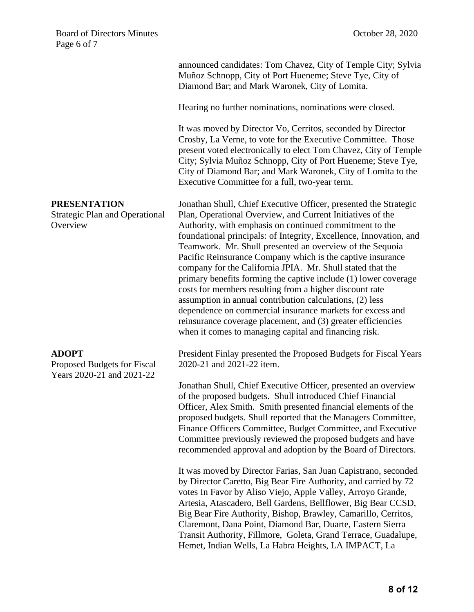announced candidates: Tom Chavez, City of Temple City; Sylvia Muñoz Schnopp, City of Port Hueneme; Steve Tye, City of Diamond Bar; and Mark Waronek, City of Lomita.

Hearing no further nominations, nominations were closed.

It was moved by Director Vo, Cerritos, seconded by Director Crosby, La Verne, to vote for the Executive Committee. Those present voted electronically to elect Tom Chavez, City of Temple City; Sylvia Muñoz Schnopp, City of Port Hueneme; Steve Tye, City of Diamond Bar; and Mark Waronek, City of Lomita to the Executive Committee for a full, two-year term.

Strategic Plan and Operational Jonathan Shull, Chief Executive Officer, presented the Strategic Plan, Operational Overview, and Current Initiatives of the Authority, with emphasis on continued commitment to the foundational principals: of Integrity, Excellence, Innovation, and Teamwork. Mr. Shull presented an overview of the Sequoia Pacific Reinsurance Company which is the captive insurance company for the California JPIA. Mr. Shull stated that the primary benefits forming the captive include (1) lower coverage costs for members resulting from a higher discount rate assumption in annual contribution calculations, (2) less dependence on commercial insurance markets for excess and reinsurance coverage placement, and (3) greater efficiencies when it comes to managing capital and financing risk.

#### **ADOPT**

Proposed Budgets for Fiscal Years 2020-21 and 2021-22

**PRESENTATION**

**Overview** 

President Finlay presented the Proposed Budgets for Fiscal Years 2020-21 and 2021-22 item.

Jonathan Shull, Chief Executive Officer, presented an overview of the proposed budgets. Shull introduced Chief Financial Officer, Alex Smith. Smith presented financial elements of the proposed budgets. Shull reported that the Managers Committee, Finance Officers Committee, Budget Committee, and Executive Committee previously reviewed the proposed budgets and have recommended approval and adoption by the Board of Directors.

It was moved by Director Farias, San Juan Capistrano, seconded by Director Caretto, Big Bear Fire Authority, and carried by 72 votes In Favor by Aliso Viejo, Apple Valley, Arroyo Grande, Artesia, Atascadero, Bell Gardens, Bellflower, Big Bear CCSD, Big Bear Fire Authority, Bishop, Brawley, Camarillo, Cerritos, Claremont, Dana Point, Diamond Bar, Duarte, Eastern Sierra Transit Authority, Fillmore, Goleta, Grand Terrace, Guadalupe, Hemet, Indian Wells, La Habra Heights, LA IMPACT, La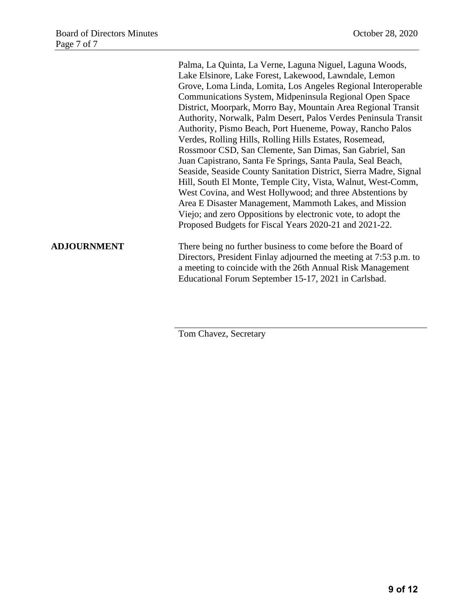Palma, La Quinta, La Verne, Laguna Niguel, Laguna Woods, Lake Elsinore, Lake Forest, Lakewood, Lawndale, Lemon Grove, Loma Linda, Lomita, Los Angeles Regional Interoperable Communications System, Midpeninsula Regional Open Space District, Moorpark, Morro Bay, Mountain Area Regional Transit Authority, Norwalk, Palm Desert, Palos Verdes Peninsula Transit Authority, Pismo Beach, Port Hueneme, Poway, Rancho Palos Verdes, Rolling Hills, Rolling Hills Estates, Rosemead, Rossmoor CSD, San Clemente, San Dimas, San Gabriel, San Juan Capistrano, Santa Fe Springs, Santa Paula, Seal Beach, Seaside, Seaside County Sanitation District, Sierra Madre, Signal Hill, South El Monte, Temple City, Vista, Walnut, West-Comm, West Covina, and West Hollywood; and three Abstentions by Area E Disaster Management, Mammoth Lakes, and Mission Viejo; and zero Oppositions by electronic vote, to adopt the Proposed Budgets for Fiscal Years 2020-21 and 2021-22.

**ADJOURNMENT** There being no further business to come before the Board of Directors, President Finlay adjourned the meeting at 7:53 p.m. to a meeting to coincide with the 26th Annual Risk Management Educational Forum September 15-17, 2021 in Carlsbad.

Tom Chavez, Secretary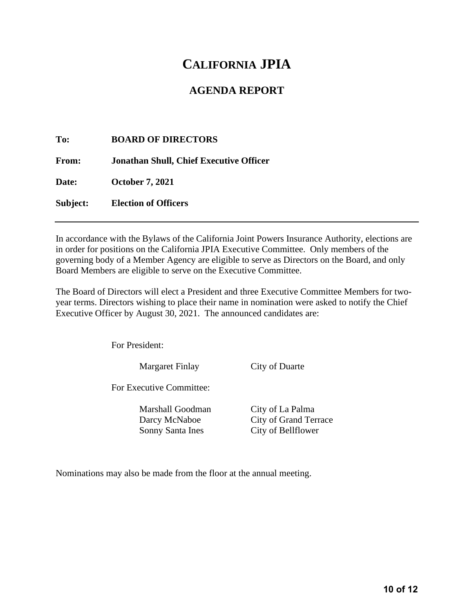## **AGENDA REPORT**

**To: BOARD OF DIRECTORS From: Jonathan Shull, Chief Executive Officer Date: October 7, 2021 Subject: Election of Officers**

In accordance with the Bylaws of the California Joint Powers Insurance Authority, elections are in order for positions on the California JPIA Executive Committee. Only members of the governing body of a Member Agency are eligible to serve as Directors on the Board, and only Board Members are eligible to serve on the Executive Committee.

The Board of Directors will elect a President and three Executive Committee Members for twoyear terms. Directors wishing to place their name in nomination were asked to notify the Chief Executive Officer by August 30, 2021. The announced candidates are:

For President:

Margaret Finlay City of Duarte

For Executive Committee:

Marshall Goodman City of La Palma Sonny Santa Ines City of Bellflower

Darcy McNaboe City of Grand Terrace

Nominations may also be made from the floor at the annual meeting.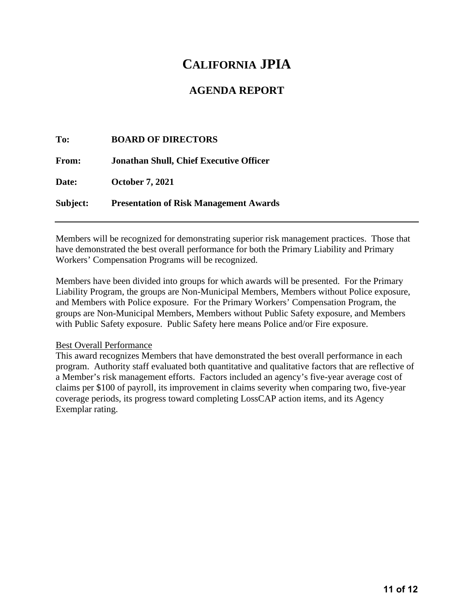## **AGENDA REPORT**

**To: BOARD OF DIRECTORS From: Jonathan Shull, Chief Executive Officer Date: October 7, 2021 Subject: Presentation of Risk Management Awards**

Members will be recognized for demonstrating superior risk management practices. Those that have demonstrated the best overall performance for both the Primary Liability and Primary Workers' Compensation Programs will be recognized.

Members have been divided into groups for which awards will be presented. For the Primary Liability Program, the groups are Non-Municipal Members, Members without Police exposure, and Members with Police exposure. For the Primary Workers' Compensation Program, the groups are Non-Municipal Members, Members without Public Safety exposure, and Members with Public Safety exposure. Public Safety here means Police and/or Fire exposure.

#### Best Overall Performance

This award recognizes Members that have demonstrated the best overall performance in each program. Authority staff evaluated both quantitative and qualitative factors that are reflective of a Member's risk management efforts. Factors included an agency's five-year average cost of claims per \$100 of payroll, its improvement in claims severity when comparing two, five-year coverage periods, its progress toward completing LossCAP action items, and its Agency Exemplar rating.